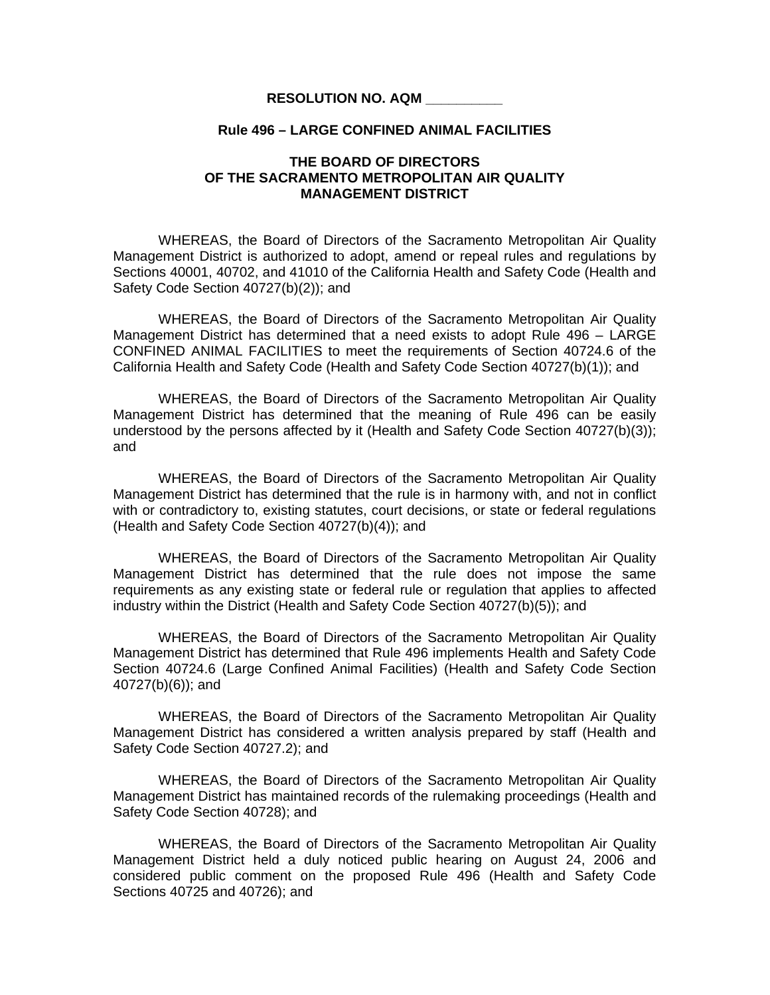## **RESOLUTION NO. AQM \_\_\_\_\_\_\_\_\_\_**

## **Rule 496 – LARGE CONFINED ANIMAL FACILITIES**

## **THE BOARD OF DIRECTORS OF THE SACRAMENTO METROPOLITAN AIR QUALITY MANAGEMENT DISTRICT**

 WHEREAS, the Board of Directors of the Sacramento Metropolitan Air Quality Management District is authorized to adopt, amend or repeal rules and regulations by Sections 40001, 40702, and 41010 of the California Health and Safety Code (Health and Safety Code Section 40727(b)(2)); and

WHEREAS, the Board of Directors of the Sacramento Metropolitan Air Quality Management District has determined that a need exists to adopt Rule 496 – LARGE CONFINED ANIMAL FACILITIES to meet the requirements of Section 40724.6 of the California Health and Safety Code (Health and Safety Code Section 40727(b)(1)); and

 WHEREAS, the Board of Directors of the Sacramento Metropolitan Air Quality Management District has determined that the meaning of Rule 496 can be easily understood by the persons affected by it (Health and Safety Code Section 40727(b)(3)); and

 WHEREAS, the Board of Directors of the Sacramento Metropolitan Air Quality Management District has determined that the rule is in harmony with, and not in conflict with or contradictory to, existing statutes, court decisions, or state or federal regulations (Health and Safety Code Section 40727(b)(4)); and

 WHEREAS, the Board of Directors of the Sacramento Metropolitan Air Quality Management District has determined that the rule does not impose the same requirements as any existing state or federal rule or regulation that applies to affected industry within the District (Health and Safety Code Section 40727(b)(5)); and

 WHEREAS, the Board of Directors of the Sacramento Metropolitan Air Quality Management District has determined that Rule 496 implements Health and Safety Code Section 40724.6 (Large Confined Animal Facilities) (Health and Safety Code Section 40727(b)(6)); and

WHEREAS, the Board of Directors of the Sacramento Metropolitan Air Quality Management District has considered a written analysis prepared by staff (Health and Safety Code Section 40727.2); and

WHEREAS, the Board of Directors of the Sacramento Metropolitan Air Quality Management District has maintained records of the rulemaking proceedings (Health and Safety Code Section 40728); and

 WHEREAS, the Board of Directors of the Sacramento Metropolitan Air Quality Management District held a duly noticed public hearing on August 24, 2006 and considered public comment on the proposed Rule 496 (Health and Safety Code Sections 40725 and 40726); and